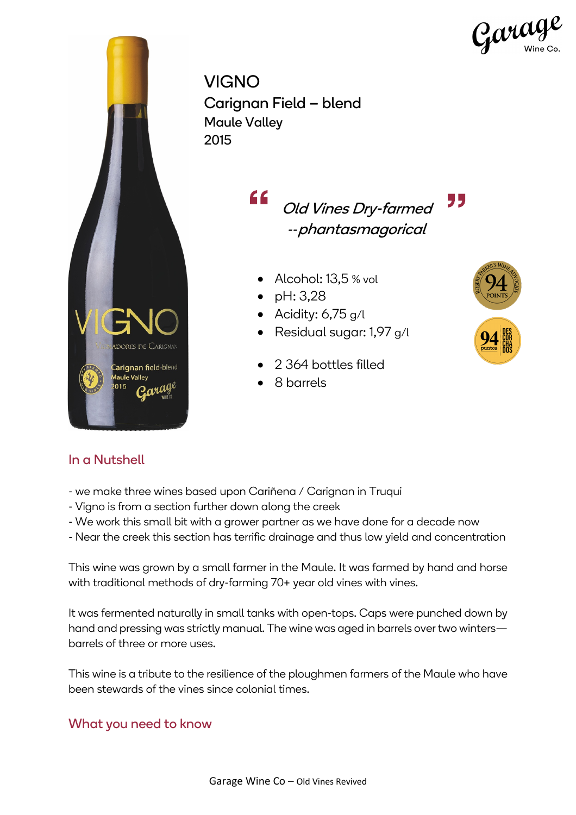

VIGNO Carignan Field – blend Maule Valley 2015

> <u>"</u> " Old Vines Dry-farmed *--*phantasmagorical

- Alcohol: 13,5 % vol
- pH: 3,28
- Acidity:  $6,75$  g/l
- Residual sugar: 1,97 g/l
- 2 364 bottles filled
- 8 barrels



- we make three wines based upon Cariñena / Carignan in Truqui
- Vigno is from a section further down along the creek
- We work this small bit with a grower partner as we have done for a decade now
- Near the creek this section has terrific drainage and thus low yield and concentration

This wine was grown by a small farmer in the Maule. It was farmed by hand and horse with traditional methods of dry-farming 70+ year old vines with vines.

It was fermented naturally in small tanks with open-tops. Caps were punched down by hand and pressing was strictly manual. The wine was aged in barrels over two winters barrels of three or more uses.

This wine is a tribute to the resilience of the ploughmen farmers of the Maule who have been stewards of the vines since colonial times.

## What you need to know



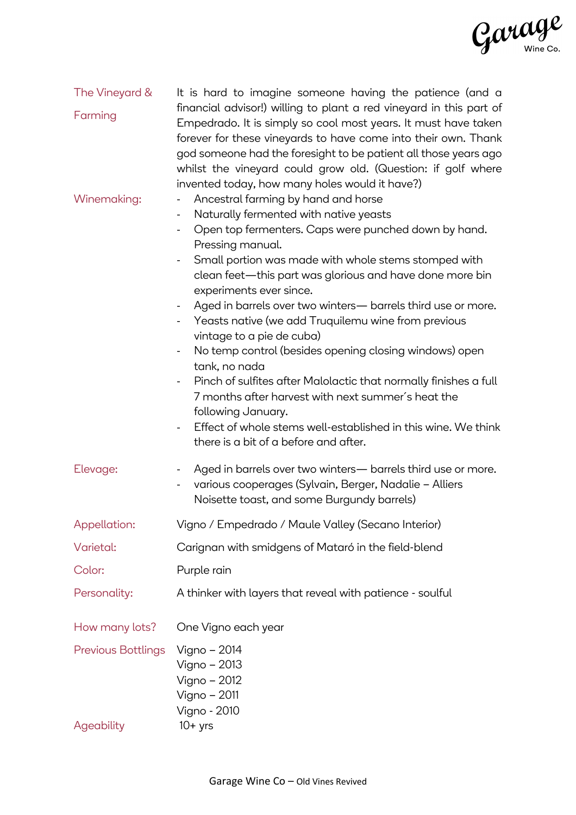

| The Vineyard &                          | It is hard to imagine someone having the patience (and a                                                                                                                                                                                                                                                                                                                                                                                                                                                                                                                                                                                                                                                                                                                                                                                                                                                                                                   |
|-----------------------------------------|------------------------------------------------------------------------------------------------------------------------------------------------------------------------------------------------------------------------------------------------------------------------------------------------------------------------------------------------------------------------------------------------------------------------------------------------------------------------------------------------------------------------------------------------------------------------------------------------------------------------------------------------------------------------------------------------------------------------------------------------------------------------------------------------------------------------------------------------------------------------------------------------------------------------------------------------------------|
| Farming                                 | financial advisor!) willing to plant a red vineyard in this part of<br>Empedrado. It is simply so cool most years. It must have taken<br>forever for these vineyards to have come into their own. Thank<br>god someone had the foresight to be patient all those years ago<br>whilst the vineyard could grow old. (Question: if golf where<br>invented today, how many holes would it have?)                                                                                                                                                                                                                                                                                                                                                                                                                                                                                                                                                               |
| Winemaking:                             | Ancestral farming by hand and horse<br>$\overline{\phantom{0}}$<br>Naturally fermented with native yeasts<br>-<br>Open top fermenters. Caps were punched down by hand.<br>$\overline{\phantom{0}}$<br>Pressing manual.<br>Small portion was made with whole stems stomped with<br>clean feet—this part was glorious and have done more bin<br>experiments ever since.<br>Aged in barrels over two winters- barrels third use or more.<br>$\blacksquare$<br>Yeasts native (we add Truquilemu wine from previous<br>$\blacksquare$<br>vintage to a pie de cuba)<br>No temp control (besides opening closing windows) open<br>$\qquad \qquad \blacksquare$<br>tank, no nada<br>Pinch of sulfites after Malolactic that normally finishes a full<br>Ξ.<br>7 months after harvest with next summer's heat the<br>following January.<br>Effect of whole stems well-established in this wine. We think<br>$\blacksquare$<br>there is a bit of a before and after. |
| Elevage:                                | Aged in barrels over two winters— barrels third use or more.<br>various cooperages (Sylvain, Berger, Nadalie - Alliers<br>$\overline{\phantom{0}}$<br>Noisette toast, and some Burgundy barrels)                                                                                                                                                                                                                                                                                                                                                                                                                                                                                                                                                                                                                                                                                                                                                           |
| Appellation:                            | Vigno / Empedrado / Maule Valley (Secano Interior)                                                                                                                                                                                                                                                                                                                                                                                                                                                                                                                                                                                                                                                                                                                                                                                                                                                                                                         |
| Varietal:                               | Carignan with smidgens of Mataró in the field-blend                                                                                                                                                                                                                                                                                                                                                                                                                                                                                                                                                                                                                                                                                                                                                                                                                                                                                                        |
| Color:                                  | Purple rain                                                                                                                                                                                                                                                                                                                                                                                                                                                                                                                                                                                                                                                                                                                                                                                                                                                                                                                                                |
| Personality:                            | A thinker with layers that reveal with patience - soulful                                                                                                                                                                                                                                                                                                                                                                                                                                                                                                                                                                                                                                                                                                                                                                                                                                                                                                  |
| How many lots?                          | One Vigno each year                                                                                                                                                                                                                                                                                                                                                                                                                                                                                                                                                                                                                                                                                                                                                                                                                                                                                                                                        |
| <b>Previous Bottlings</b><br>Ageability | Vigno – 2014<br>Vigno – 2013<br>Vigno - 2012<br>Vigno – 2011<br>Vigno - 2010<br>$10+$ yrs                                                                                                                                                                                                                                                                                                                                                                                                                                                                                                                                                                                                                                                                                                                                                                                                                                                                  |
|                                         |                                                                                                                                                                                                                                                                                                                                                                                                                                                                                                                                                                                                                                                                                                                                                                                                                                                                                                                                                            |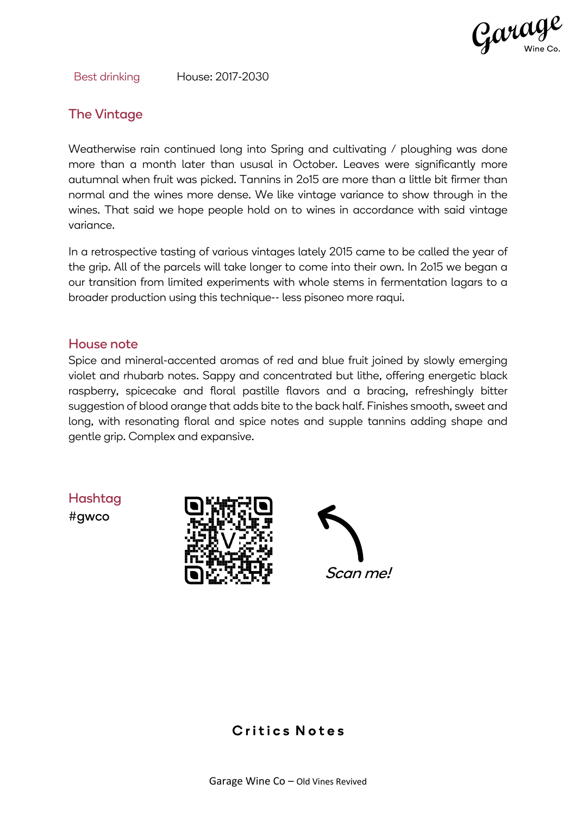

Best drinking House: 2017-2030

## The Vintage

Weatherwise rain continued long into Spring and cultivating / ploughing was done more than a month later than ususal in October. Leaves were significantly more autumnal when fruit was picked. Tannins in 2o15 are more than a little bit firmer than normal and the wines more dense. We like vintage variance to show through in the wines. That said we hope people hold on to wines in accordance with said vintage variance.

In a retrospective tasting of various vintages lately 2015 came to be called the year of the grip. All of the parcels will take longer to come into their own. In 2o15 we began a our transition from limited experiments with whole stems in fermentation lagars to a broader production using this technique-- less pisoneo more raqui.

#### House note

Spice and mineral-accented aromas of red and blue fruit joined by slowly emerging violet and rhubarb notes. Sappy and concentrated but lithe, offering energetic black raspberry, spicecake and floral pastille flavors and a bracing, refreshingly bitter suggestion of blood orange that adds bite to the back half. Finishes smooth, sweet and long, with resonating floral and spice notes and supple tannins adding shape and gentle grip. Complex and expansive.

Hashtag

#gwco





## Critics Notes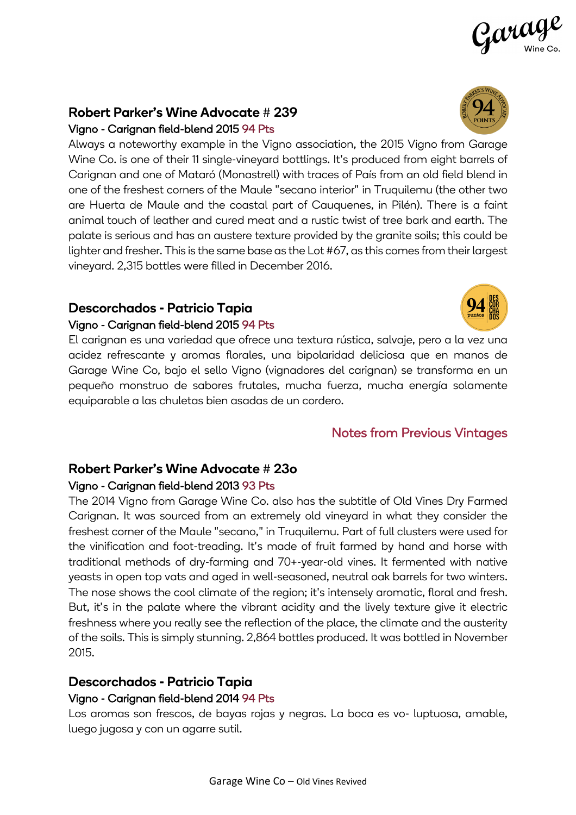Garage Wine Co – Old Vines Revived

#### Robert Parker's Wine Advocate # 239 Vigno - Carignan field-blend 2015 94 Pts

Always a noteworthy example in the Vigno association, the 2015 Vigno from Garage Wine Co. is one of their 11 single-vineyard bottlings. It's produced from eight barrels of Carignan and one of Mataró (Monastrell) with traces of País from an old field blend in one of the freshest corners of the Maule "secano interior" in Truquilemu (the other two are Huerta de Maule and the coastal part of Cauquenes, in Pilén). There is a faint animal touch of leather and cured meat and a rustic twist of tree bark and earth. The palate is serious and has an austere texture provided by the granite soils; this could be lighter and fresher. This is the same base as the Lot #67, as this comes from their largest vineyard. 2,315 bottles were filled in December 2016.

## Descorchados - Patricio Tapia Vigno - Carignan field-blend 2015 94 Pts

El carignan es una variedad que ofrece una textura rústica, salvaje, pero a la vez una acidez refrescante y aromas florales, una bipolaridad deliciosa que en manos de Garage Wine Co, bajo el sello Vigno (vignadores del carignan) se transforma en un pequeño monstruo de sabores frutales, mucha fuerza, mucha energía solamente equiparable a las chuletas bien asadas de un cordero.

# Notes from Previous Vintages

## Robert Parker's Wine Advocate # 23o Vigno - Carignan field-blend 2013 93 Pts

The 2014 Vigno from Garage Wine Co. also has the subtitle of Old Vines Dry Farmed Carignan. It was sourced from an extremely old vineyard in what they consider the freshest corner of the Maule "secano," in Truquilemu. Part of full clusters were used for the vinification and foot-treading. It's made of fruit farmed by hand and horse with traditional methods of dry-farming and 70+-year-old vines. It fermented with native yeasts in open top vats and aged in well-seasoned, neutral oak barrels for two winters. The nose shows the cool climate of the region; it's intensely aromatic, floral and fresh. But, it's in the palate where the vibrant acidity and the lively texture give it electric freshness where you really see the reflection of the place, the climate and the austerity of the soils. This is simply stunning. 2,864 bottles produced. It was bottled in November 2015.

# Descorchados - Patricio Tapia

## Vigno - Carignan field-blend 2014 94 Pts

Los aromas son frescos, de bayas rojas y negras. La boca es vo- luptuosa, amable, luego jugosa y con un agarre sutil.





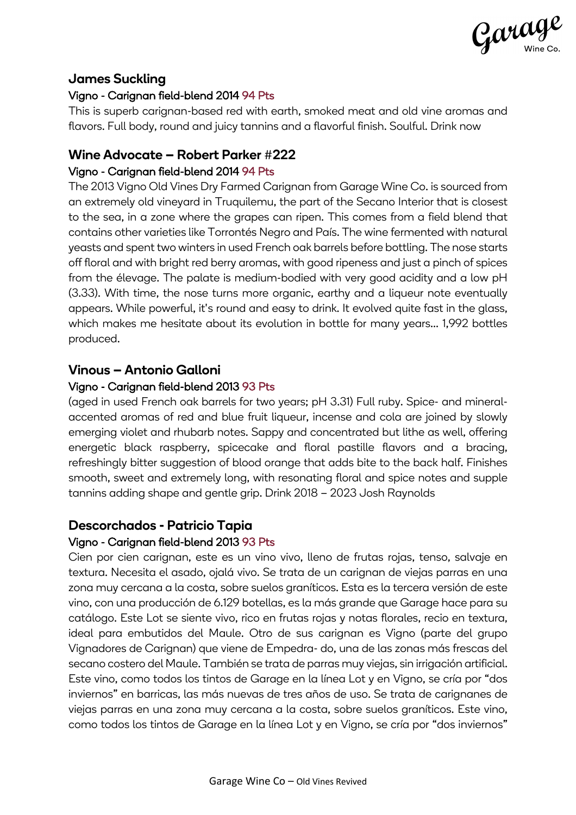

## James Suckling

#### Vigno - Carignan field-blend 2014 94 Pts

This is superb carignan-based red with earth, smoked meat and old vine aromas and flavors. Full body, round and juicy tannins and a flavorful finish. Soulful. Drink now

# Wine Advocate – Robert Parker #222

### Vigno - Carignan field-blend 2014 94 Pts

The 2013 Vigno Old Vines Dry Farmed Carignan from Garage Wine Co. is sourced from an extremely old vineyard in Truquilemu, the part of the Secano Interior that is closest to the sea, in a zone where the grapes can ripen. This comes from a field blend that contains other varieties like Torrontés Negro and País. The wine fermented with natural yeasts and spent two winters in used French oak barrels before bottling. The nose starts off floral and with bright red berry aromas, with good ripeness and just a pinch of spices from the élevage. The palate is medium-bodied with very good acidity and a low pH (3.33). With time, the nose turns more organic, earthy and a liqueur note eventually appears. While powerful, it's round and easy to drink. It evolved quite fast in the glass, which makes me hesitate about its evolution in bottle for many years... 1,992 bottles produced.

#### Vinous – Antonio Galloni

#### Vigno - Carignan field-blend 2013 93 Pts

(aged in used French oak barrels for two years; pH 3.31) Full ruby. Spice- and mineralaccented aromas of red and blue fruit liqueur, incense and cola are joined by slowly emerging violet and rhubarb notes. Sappy and concentrated but lithe as well, offering energetic black raspberry, spicecake and floral pastille flavors and a bracing, refreshingly bitter suggestion of blood orange that adds bite to the back half. Finishes smooth, sweet and extremely long, with resonating floral and spice notes and supple tannins adding shape and gentle grip. Drink 2018 – 2023 Josh Raynolds

## Descorchados - Patricio Tapia

#### Vigno - Carignan field-blend 2013 93 Pts

Cien por cien carignan, este es un vino vivo, lleno de frutas rojas, tenso, salvaje en textura. Necesita el asado, ojalá vivo. Se trata de un carignan de viejas parras en una zona muy cercana a la costa, sobre suelos graníticos. Esta es la tercera versión de este vino, con una producción de 6.129 botellas, es la más grande que Garage hace para su catálogo. Este Lot se siente vivo, rico en frutas rojas y notas florales, recio en textura, ideal para embutidos del Maule. Otro de sus carignan es Vigno (parte del grupo Vignadores de Carignan) que viene de Empedra- do, una de las zonas más frescas del secano costero del Maule. También se trata de parras muy viejas, sin irrigación artificial. Este vino, como todos los tintos de Garage en la línea Lot y en Vigno, se cría por "dos inviernos" en barricas, las más nuevas de tres años de uso. Se trata de carignanes de viejas parras en una zona muy cercana a la costa, sobre suelos graníticos. Este vino, como todos los tintos de Garage en la línea Lot y en Vigno, se cría por "dos inviernos"